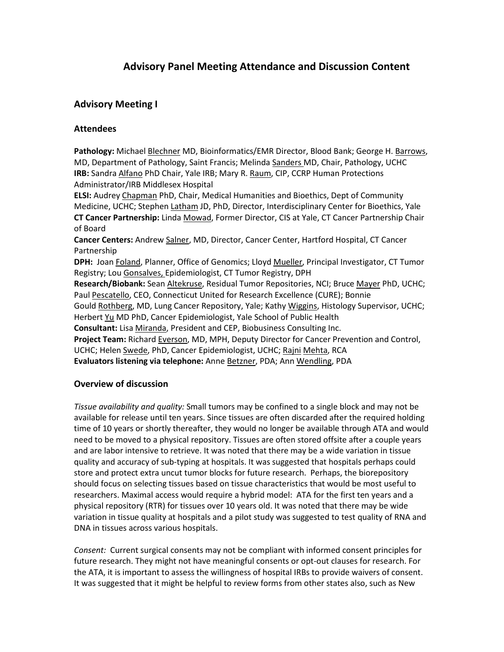# **Advisory Panel Meeting Attendance and Discussion Content**

## **Advisory Meeting I**

### **Attendees**

**Pathology:** Michael Blechner MD, Bioinformatics/EMR Director, Blood Bank; George H. Barrows, MD, Department of Pathology, Saint Francis; Melinda Sanders MD, Chair, Pathology, UCHC **IRB:** Sandra Alfano PhD Chair, Yale IRB; Mary R. Raum, CIP, CCRP Human Protections Administrator/IRB Middlesex Hospital

**ELSI:** Audrey Chapman PhD, Chair, Medical Humanities and Bioethics, Dept of Community Medicine, UCHC; Stephen Latham JD, PhD, Director, Interdisciplinary Center for Bioethics, Yale **CT Cancer Partnership:** Linda Mowad, Former Director, CIS at Yale, CT Cancer Partnership Chair of Board

**Cancer Centers:** Andrew Salner, MD, Director, Cancer Center, Hartford Hospital, CT Cancer Partnership

**DPH:** Joan Foland, Planner, Office of Genomics; Lloyd Mueller, Principal Investigator, CT Tumor Registry; Lou Gonsalves, Epidemiologist, CT Tumor Registry, DPH

**Research/Biobank:** Sean Altekruse, Residual Tumor Repositories, NCI; Bruce Mayer PhD, UCHC; Paul Pescatello, CEO, Connecticut United for Research Excellence (CURE); Bonnie

Gould Rothberg, MD, Lung Cancer Repository, Yale; Kathy Wiggins, Histology Supervisor, UCHC; Herbert Yu MD PhD, Cancer Epidemiologist, Yale School of Public Health

**Consultant:** Lisa Miranda, President and CEP, Biobusiness Consulting Inc.

**Project Team:** Richard Everson, MD, MPH, Deputy Director for Cancer Prevention and Control, UCHC; Helen Swede, PhD, Cancer Epidemiologist, UCHC; Rajni Mehta, RCA

**Evaluators listening via telephone:** Anne Betzner, PDA; Ann Wendling, PDA

#### **Overview of discussion**

*Tissue availability and quality:* Small tumors may be confined to a single block and may not be available for release until ten years. Since tissues are often discarded after the required holding time of 10 years or shortly thereafter, they would no longer be available through ATA and would need to be moved to a physical repository. Tissues are often stored offsite after a couple years and are labor intensive to retrieve. It was noted that there may be a wide variation in tissue quality and accuracy of sub-typing at hospitals. It was suggested that hospitals perhaps could store and protect extra uncut tumor blocks for future research. Perhaps, the biorepository should focus on selecting tissues based on tissue characteristics that would be most useful to researchers. Maximal access would require a hybrid model: ATA for the first ten years and a physical repository (RTR) for tissues over 10 years old. It was noted that there may be wide variation in tissue quality at hospitals and a pilot study was suggested to test quality of RNA and DNA in tissues across various hospitals.

*Consent:* Current surgical consents may not be compliant with informed consent principles for future research. They might not have meaningful consents or opt-out clauses for research. For the ATA, it is important to assess the willingness of hospital IRBs to provide waivers of consent. It was suggested that it might be helpful to review forms from other states also, such as New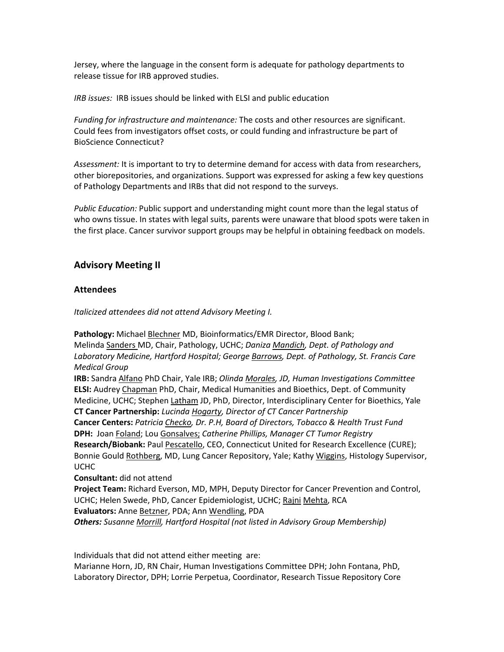Jersey, where the language in the consent form is adequate for pathology departments to release tissue for IRB approved studies.

*IRB issues:* IRB issues should be linked with ELSI and public education

*Funding for infrastructure and maintenance:* The costs and other resources are significant. Could fees from investigators offset costs, or could funding and infrastructure be part of BioScience Connecticut?

*Assessment:* It is important to try to determine demand for access with data from researchers, other biorepositories, and organizations. Support was expressed for asking a few key questions of Pathology Departments and IRBs that did not respond to the surveys.

*Public Education:* Public support and understanding might count more than the legal status of who owns tissue. In states with legal suits, parents were unaware that blood spots were taken in the first place. Cancer survivor support groups may be helpful in obtaining feedback on models.

### **Advisory Meeting II**

#### **Attendees**

*Italicized attendees did not attend Advisory Meeting I.*

**Pathology:** Michael Blechner MD, Bioinformatics/EMR Director, Blood Bank; Melinda Sanders MD, Chair, Pathology, UCHC; *Daniza Mandich, Dept. of Pathology and Laboratory Medicine, Hartford Hospital; George Barrows, Dept. of Pathology, St. Francis Care Medical Group*  **IRB:** Sandra Alfano PhD Chair, Yale IRB; *Olinda Morales, JD, Human Investigations Committee* **ELSI:** Audrey Chapman PhD, Chair, Medical Humanities and Bioethics, Dept. of Community Medicine, UCHC; Stephen Latham JD, PhD, Director, Interdisciplinary Center for Bioethics, Yale **CT Cancer Partnership:** *Lucinda Hogarty, Director of CT Cancer Partnership* **Cancer Centers:** *Patricia Checko, Dr. P.H, Board of Directors, Tobacco & Health Trust Fund* **DPH:** Joan Foland; Lou Gonsalves; *Catherine Phillips, Manager CT Tumor Registry* **Research/Biobank:** Paul Pescatello, CEO, Connecticut United for Research Excellence (CURE); Bonnie Gould Rothberg, MD, Lung Cancer Repository, Yale; Kathy Wiggins, Histology Supervisor,

#### UCHC

**Consultant:** did not attend

**Project Team:** Richard Everson, MD, MPH, Deputy Director for Cancer Prevention and Control, UCHC; Helen Swede, PhD, Cancer Epidemiologist, UCHC; Rajni Mehta, RCA **Evaluators:** Anne Betzner, PDA; Ann Wendling, PDA

*Others: Susanne Morrill, Hartford Hospital (not listed in Advisory Group Membership)* 

Individuals that did not attend either meeting are:

Marianne Horn, JD, RN Chair, Human Investigations Committee DPH; John Fontana, PhD, Laboratory Director, DPH; Lorrie Perpetua, Coordinator, Research Tissue Repository Core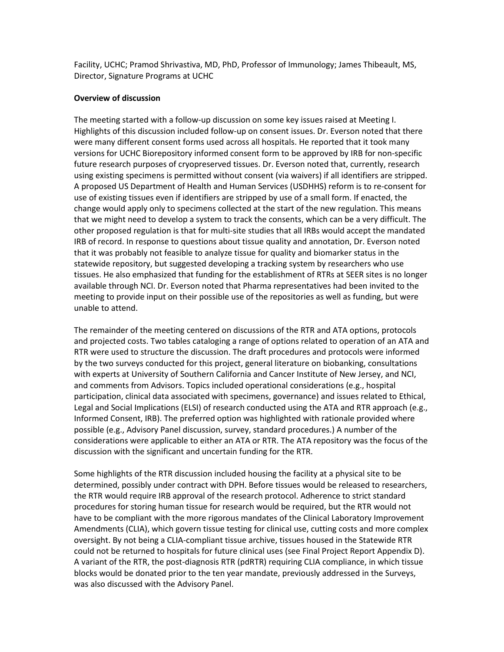Facility, UCHC; Pramod Shrivastiva, MD, PhD, Professor of Immunology; James Thibeault, MS, Director, Signature Programs at UCHC

#### **Overview of discussion**

The meeting started with a follow-up discussion on some key issues raised at Meeting I. Highlights of this discussion included follow-up on consent issues. Dr. Everson noted that there were many different consent forms used across all hospitals. He reported that it took many versions for UCHC Biorepository informed consent form to be approved by IRB for non-specific future research purposes of cryopreserved tissues. Dr. Everson noted that, currently, research using existing specimens is permitted without consent (via waivers) if all identifiers are stripped. A proposed US Department of Health and Human Services (USDHHS) reform is to re-consent for use of existing tissues even if identifiers are stripped by use of a small form. If enacted, the change would apply only to specimens collected at the start of the new regulation. This means that we might need to develop a system to track the consents, which can be a very difficult. The other proposed regulation is that for multi-site studies that all IRBs would accept the mandated IRB of record. In response to questions about tissue quality and annotation, Dr. Everson noted that it was probably not feasible to analyze tissue for quality and biomarker status in the statewide repository, but suggested developing a tracking system by researchers who use tissues. He also emphasized that funding for the establishment of RTRs at SEER sites is no longer available through NCI. Dr. Everson noted that Pharma representatives had been invited to the meeting to provide input on their possible use of the repositories as well as funding, but were unable to attend.

The remainder of the meeting centered on discussions of the RTR and ATA options, protocols and projected costs. Two tables cataloging a range of options related to operation of an ATA and RTR were used to structure the discussion. The draft procedures and protocols were informed by the two surveys conducted for this project, general literature on biobanking, consultations with experts at University of Southern California and Cancer Institute of New Jersey, and NCI, and comments from Advisors. Topics included operational considerations (e.g., hospital participation, clinical data associated with specimens, governance) and issues related to Ethical, Legal and Social Implications (ELSI) of research conducted using the ATA and RTR approach (e.g., Informed Consent, IRB). The preferred option was highlighted with rationale provided where possible (e.g., Advisory Panel discussion, survey, standard procedures.) A number of the considerations were applicable to either an ATA or RTR. The ATA repository was the focus of the discussion with the significant and uncertain funding for the RTR.

Some highlights of the RTR discussion included housing the facility at a physical site to be determined, possibly under contract with DPH. Before tissues would be released to researchers, the RTR would require IRB approval of the research protocol. Adherence to strict standard procedures for storing human tissue for research would be required, but the RTR would not have to be compliant with the more rigorous mandates of the Clinical Laboratory Improvement Amendments (CLIA), which govern tissue testing for clinical use, cutting costs and more complex oversight. By not being a CLIA-compliant tissue archive, tissues housed in the Statewide RTR could not be returned to hospitals for future clinical uses (see Final Project Report Appendix D). A variant of the RTR, the post-diagnosis RTR (pdRTR) requiring CLIA compliance, in which tissue blocks would be donated prior to the ten year mandate, previously addressed in the Surveys, was also discussed with the Advisory Panel.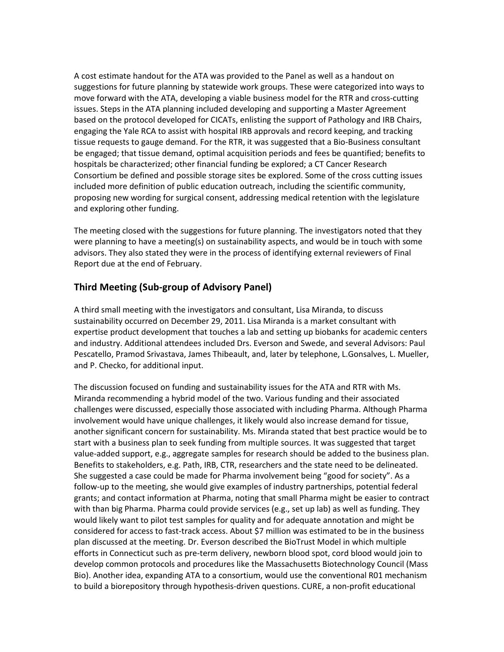A cost estimate handout for the ATA was provided to the Panel as well as a handout on suggestions for future planning by statewide work groups. These were categorized into ways to move forward with the ATA, developing a viable business model for the RTR and cross-cutting issues. Steps in the ATA planning included developing and supporting a Master Agreement based on the protocol developed for CICATs, enlisting the support of Pathology and IRB Chairs, engaging the Yale RCA to assist with hospital IRB approvals and record keeping, and tracking tissue requests to gauge demand. For the RTR, it was suggested that a Bio-Business consultant be engaged; that tissue demand, optimal acquisition periods and fees be quantified; benefits to hospitals be characterized; other financial funding be explored; a CT Cancer Research Consortium be defined and possible storage sites be explored. Some of the cross cutting issues included more definition of public education outreach, including the scientific community, proposing new wording for surgical consent, addressing medical retention with the legislature and exploring other funding.

The meeting closed with the suggestions for future planning. The investigators noted that they were planning to have a meeting(s) on sustainability aspects, and would be in touch with some advisors. They also stated they were in the process of identifying external reviewers of Final Report due at the end of February.

### **Third Meeting (Sub-group of Advisory Panel)**

A third small meeting with the investigators and consultant, Lisa Miranda, to discuss sustainability occurred on December 29, 2011. Lisa Miranda is a market consultant with expertise product development that touches a lab and setting up biobanks for academic centers and industry. Additional attendees included Drs. Everson and Swede, and several Advisors: Paul Pescatello, Pramod Srivastava, James Thibeault, and, later by telephone, L.Gonsalves, L. Mueller, and P. Checko, for additional input.

The discussion focused on funding and sustainability issues for the ATA and RTR with Ms. Miranda recommending a hybrid model of the two. Various funding and their associated challenges were discussed, especially those associated with including Pharma. Although Pharma involvement would have unique challenges, it likely would also increase demand for tissue, another significant concern for sustainability. Ms. Miranda stated that best practice would be to start with a business plan to seek funding from multiple sources. It was suggested that target value-added support, e.g., aggregate samples for research should be added to the business plan. Benefits to stakeholders, e.g. Path, IRB, CTR, researchers and the state need to be delineated. She suggested a case could be made for Pharma involvement being "good for society". As a follow-up to the meeting, she would give examples of industry partnerships, potential federal grants; and contact information at Pharma, noting that small Pharma might be easier to contract with than big Pharma. Pharma could provide services (e.g., set up lab) as well as funding. They would likely want to pilot test samples for quality and for adequate annotation and might be considered for access to fast-track access. About \$7 million was estimated to be in the business plan discussed at the meeting. Dr. Everson described the BioTrust Model in which multiple efforts in Connecticut such as pre-term delivery, newborn blood spot, cord blood would join to develop common protocols and procedures like the Massachusetts Biotechnology Council (Mass Bio). Another idea, expanding ATA to a consortium, would use the conventional R01 mechanism to build a biorepository through hypothesis-driven questions. CURE, a non-profit educational